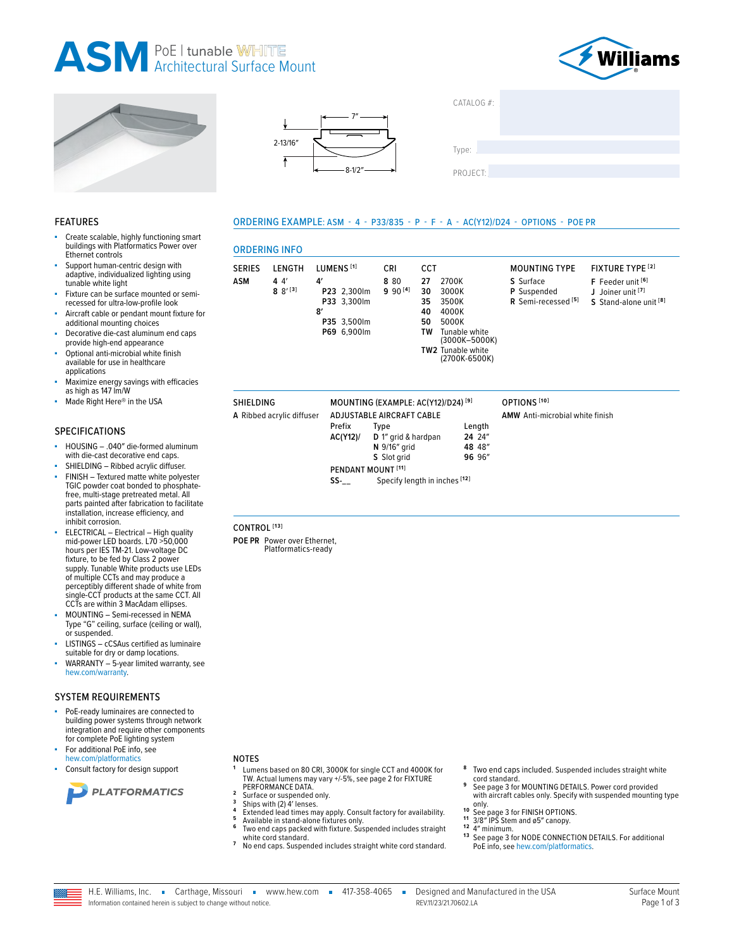## **ASM** PoE I tunable WHITE



FIXTURE TYPE<sup>[2]</sup>

F Feeder unit [6]

J Joiner unit [7]

S Stand-alone unit<sup>[8]</sup>





LUMENS<sup>[1]</sup>

P23 2,300lm

P33 3,300lm

P35 3,500lm

P69 6,900lm

Prefix

 $SS-$ 

AC(Y12)/

 $\mathbf{A}'$ 

 $\mathbf{R}'$ 

**ORDERING INFO** 

SERIES LENGTH

 $44'$ 

 $8 8'$ <sup>[3]</sup>

**ASM** 

**SHIELDING** 

CONTROL<sup>[13]</sup>

POE PR Power over Ethernet,

Platformatics-ready

A Ribbed acrylic diffuser

ORDERING EXAMPLE: ASM - 4 - P33/835 - P - F - A - AC(Y12)/D24 - OPTIONS - POE PR

CCT

 $27$ 

30

35

40

50

TW

TW<sub>2</sub>

2700K

3000K

3500K

4000K

5000K

Tunable white<br>(3000K-5000K)

Tunable white<br>(2700K-6500K)

Length

24 24"

48 48"

96 96"

CRI

8.80

 $990^{[4]}$ 

MOUNTING (EXAMPLE: AC(Y12)/D24)<sup>[9]</sup>

D 1" grid & hardpan

Specify length in inches [12]

N 9/16" grid

S Slot grid

**ADJUSTABLE AIRCRAFT CABLE** 

Type

PENDANT MOUNT<sup>[11]</sup>

| CATALOG #: |  |  |
|------------|--|--|
|            |  |  |
| Type:      |  |  |
| PROJECT:   |  |  |

**MOUNTING TYPE** 

R Semi-recessed<sup>[5]</sup>

S Surface

OPTIONS<sup>[10]</sup>

AMW Anti-microbial white finish

P Suspended

#### **FEATURES**

- Create scalable, highly functioning smart buildings with Platformatics Power over Ethernet controls
- Support human-centric design with adaptive, individualized lighting using tunable white light
- Fixture can be surface mounted or semirecessed for ultra-low-profile look
- Aircraft cable or pendant mount fixture for additional mounting choices
- Decorative die-cast aluminum end caps provide high-end appearance
- Optional anti-microbial white finish available for use in healthcare applications
- Maximize energy savings with efficacies as high as 147 lm/W
- Made Right Here® in the USA

#### **SPECIFICATIONS**

- HOUSING .040" die-formed aluminum with die-cast decorative end caps.
- SHIELDING Ribbed acrylic diffuser. FINISH - Textured matte white polyester TGIC powder coat bonded to phosphatefree, multi-stage pretreated metal. All<br>parts painted after fabrication to facilitate installation, increase efficiency, and
- inhibit corrosion. ELECTRICAL - Electrical - High quality<br>mid-power LED boards. L70 >50,000 hours per IES TM-21. Low-voltage DC fixture, to be fed by Class 2 power supply. Tunable White products use LEDs of multiple CCTs and may produce a perceptibly different shade of white from single-CCT products at the same CCT. All CCTs are within 3 MacAdam ellipses.
- MOUNTING Semi-recessed in NEMA Type "G" ceiling, surface (ceiling or wall), or suspended.
- LISTINGS cCSAus certified as luminaire suitable for dry or damp locations.
- WARRANTY 5-year limited warranty, see hew.com/warranty.

#### **SYSTEM REQUIREMENTS**

- PoE-ready luminaires are connected to building power systems through network integration and require other components for complete PoE lighting system For additional PoE info, see
- hew.com/platformatics
- Consult factory for design support



#### **NOTES**

- Lumens based on 80 CRI, 3000K for single CCT and 4000K for TW. Actual lumens may vary +/-5%, see page 2 for FIXTURE PERFORMANCE DATA.
- $\overline{\phantom{a}}$ Surface or suspended only.  $\overline{\mathbf{3}}$
- Ships with (2) 4' lenses.
- Extended lead times may apply. Consult factory for availability.<br>Available in stand-alone fixtures only. 5 6
	- Two end caps packed with fixture. Suspended includes straight

 $\sim$ 

- white cord standard.<br>No end caps. Suspended includes straight white cord standard.  $\overline{z}$
- Two end caps included. Suspended includes straight white
- cord standard. See page 3 for MOUNTING DETAILS. Power cord provided with aircraft cables only. Specify with suspended mounting type
- only.  $10$
- <sup>10</sup> See page 3 for FINISH OPTIONS.<br><sup>11</sup> 3/8" IPS Stem and ø5" canopy.
- $12$ 4" minimum.
- 13 See page 3 for NODE CONNECTION DETAILS. For additional PoE info. see hew.com/platformatics

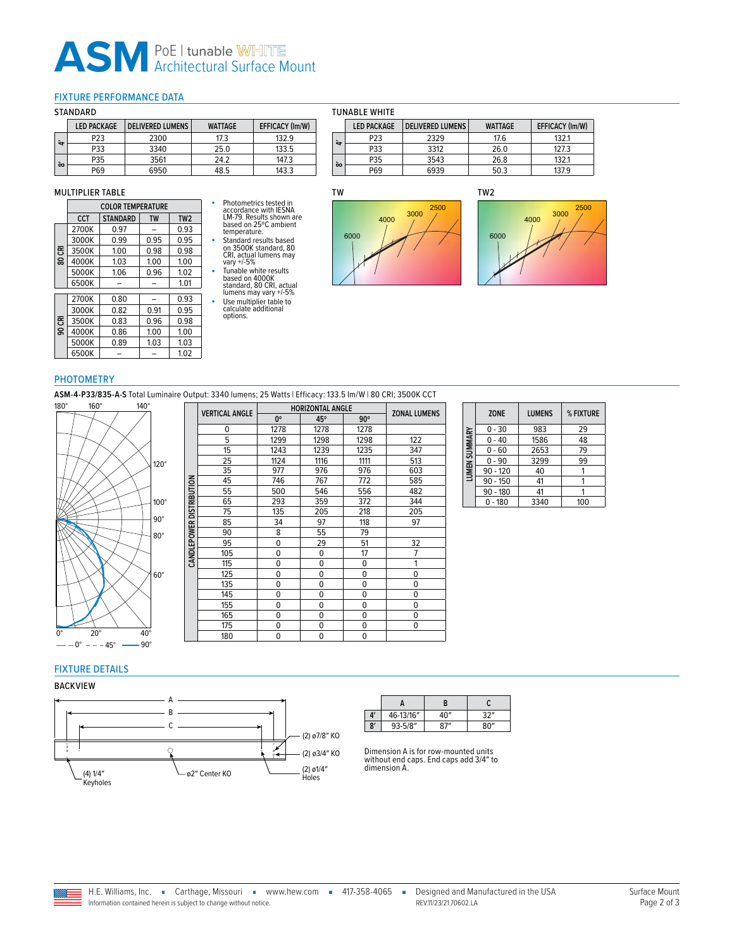## **ASM** PoE | tunable WHITE

#### <span id="page-1-0"></span>FIXTURE PERFORMANCE DATA

#### STANDARD

|    | <b>LED PACKAGE</b> | <b>DELIVERED LUMENS</b> | <b>WATTAGE</b> | <b>EFFICACY (Im/W)</b> |
|----|--------------------|-------------------------|----------------|------------------------|
| ₩  | P <sub>23</sub>    | 2300                    | 17.3           | 132.9                  |
|    | P33                | 3340                    | 25.0           | 133.5                  |
|    | P35                | 3561                    | 242            | 147.3                  |
| òo | P69                | 6950                    | 48.5           | 143.3                  |

#### MULTIPLIER TABLE

|        | <b>COLOR TEMPERATURE</b> |                 |           |                 |  |
|--------|--------------------------|-----------------|-----------|-----------------|--|
|        | <b>CCT</b>               | <b>STANDARD</b> | <b>TW</b> | TW <sub>2</sub> |  |
|        | 2700K                    | 0.97            |           | 0.93            |  |
|        | 3000K                    | 0.99            | 0.95      | 0.95            |  |
| 80 CRI | 3500K                    | 1.00            | 0.98      | 0.98            |  |
|        | 4000K                    | 1.03            | 1.00      | 1.00            |  |
|        | 5000K                    | 1.06            | 0.96      | 1.02            |  |
|        | 6500K                    |                 |           | 1.01            |  |
|        | 2700K                    | 0.80            |           | 0.93            |  |
|        | 3000K                    | 0.82            | 0.91      | 0.95            |  |
| 90 CRI | 3500K                    | 0.83            | 0.96      | 0.98            |  |
|        | 4000K                    | 0.86            | 1.00      | 1.00            |  |
|        | 5000K                    | 0.89            | 1.03      | 1.03            |  |
|        | 6500K                    |                 |           | 1.02            |  |

# ■ Photometrics tested in accordance with IESNA<br>LM-79. Results shown are<br>based on 25°C ambient<br>emperature.<br>5 Standard results based<br>on 3500K standard, 80<br>CRI, actual lumens may<br>vary +/-5%

■ Tunable white results based on 4000K standard, 80 CRI, actual lumens may vary +/-5% ■ Use multiplier table to calculate additional options.

#### TUNABLE WHITE

|            | <b>LED PACKAGE</b> | <b>DELIVERED LUMENS</b> | <b>WATTAGE</b> | <b>EFFICACY (Im/W)</b> |
|------------|--------------------|-------------------------|----------------|------------------------|
| $\ddot{ }$ | P23                | 2329                    | 17.6           | 132.1                  |
|            | P33                | 3312                    | 26.0           | 127.3                  |
| õ٥         | P35                | 3543                    | 26.8           | 132.1                  |
|            | P69                | 6939                    | 50.3           | 137.9                  |

## TW





#### PHOTOMETRY

**ASM-4-P33/835-A-S** Total Luminaire Output: 3340 lumens; 25 Watts | Efficacy: 133.5 lm/W | 80 CRI; 3500K CCT



|                     | <b>VERTICAL ANGLE</b> | <b>HORIZONTAL ANGLE</b> |             |             | <b>ZONAL LUMENS</b> |  |
|---------------------|-----------------------|-------------------------|-------------|-------------|---------------------|--|
|                     |                       | $0^{\circ}$             | 45°         | $90^\circ$  |                     |  |
|                     | 0                     | 1278                    | 1278        | 1278        |                     |  |
|                     | 5                     | 1299                    | 1298        | 1298        | 122                 |  |
|                     | 15                    | 1243                    | 1239        | 1235        | 347                 |  |
|                     | 25                    | 1124                    | 1116        | 1111        | 513                 |  |
|                     | 35                    | 977                     | 976         | 976         | 603                 |  |
|                     | 45                    | 746                     | 767         | 772         | 585                 |  |
|                     | 55                    | 500                     | 546         | 556         | 482                 |  |
| <b>DISTRIBUTION</b> | 65                    | 293                     | 359         | 372         | 344                 |  |
|                     | 75                    | 135                     | 205         | 218         | 205                 |  |
|                     | 85                    | 34                      | 97          | 118         | 97                  |  |
|                     | 90                    | 8                       | 55          | 79          |                     |  |
| CANDLEPOWER         | 95                    | 0                       | 29          | 51          | 32                  |  |
|                     | 105                   | 0                       | $\mathbf 0$ | 17          | 7                   |  |
|                     | 115                   | 0                       | $\mathbf 0$ | 0           | 1                   |  |
|                     | 125                   | 0                       | $\mathbf 0$ | 0           | 0                   |  |
|                     | 135                   | 0                       | $\mathbf 0$ | $\mathbf 0$ | 0                   |  |
|                     | 145                   | 0                       | $\mathbf 0$ | $\mathbf 0$ | 0                   |  |
|                     | 155                   | 0                       | $\Omega$    | 0           | $\mathbf 0$         |  |
|                     | 165                   | 0                       | $\mathbf 0$ | $\mathbf 0$ | 0                   |  |
|                     | 175                   | 0                       | $\Omega$    | 0           | 0                   |  |
|                     | 180                   | 0                       | $\mathbf 0$ | $\mathbf 0$ |                     |  |

|               | <b>ZONE</b> | <b>LUMENS</b> | % FIXTURE |
|---------------|-------------|---------------|-----------|
|               | $0 - 30$    | 983           | 29        |
|               | $0 - 40$    | 1586          | 48        |
|               | $0 - 60$    | 2653          | 79        |
|               | $0 - 90$    | 3299          | 99        |
| LUMEN SUMMARY | $90 - 120$  | 40            |           |
|               | $90 - 150$  | 41            |           |
|               | $90 - 180$  | 41            |           |
|               | $0 - 180$   | 3340          | 100       |

### FIXTURE DETAILS

#### BACKVIEW



|    | н           | B   |      |
|----|-------------|-----|------|
| 4' | 46-13/16"   | 4∩″ | 32"  |
| 8' | $93 - 5/8"$ | 87" | 80'' |

Dimension A is for row-mounted units without end caps. End caps add 3/4″ to dimension A.